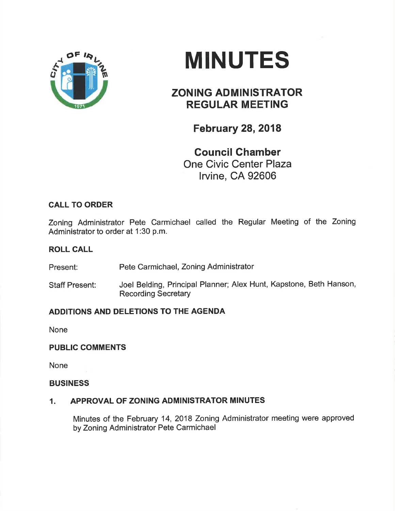

# MINUTES

# ZONING ADMINISTRATOR REGULAR MEETING

February 28,2018

Council Ghamber One Civic Center Plaza lrvine, CA 92606

## CALL TO ORDER

Zoning Administrator Pete Carmichael called the Regular Meeting of the Zoning Administrator to order at 1:30 p.m.

#### ROLL CALL

Present: Pete Carmichael, Zoning Administrator

Staff Present: Joel Belding, Principal Planner; Alex Hunt, Kapstone, Beth Hanson, Recording Secretary

### ADDITIONS AND DELETIONS TO THE AGENDA

None

#### PUBLIC COMMENTS

None

#### BUSINESS

#### 1. APPROVAL OF ZONING ADMINISTRATOR MINUTES

Minutes of the February 14,2018 Zoning Administrator meeting were approved by Zoning Administrator Pete Carmichael